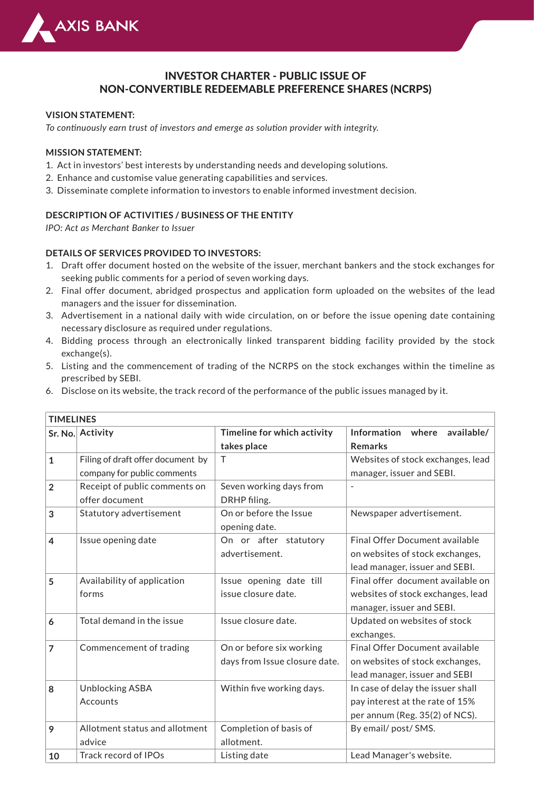

# INVESTOR CHARTER - PUBLIC ISSUE OF NON-CONVERTIBLE REDEEMABLE PREFERENCE SHARES (NCRPS)

#### **VISION STATEMENT:**

*To continuously earn trust of investors and emerge as solution provider with integrity.*

#### **MISSION STATEMENT:**

- 1. Act in investors' best interests by understanding needs and developing solutions.
- 2. Enhance and customise value generating capabilities and services.
- 3. Disseminate complete information to investors to enable informed investment decision.

#### **DESCRIPTION OF ACTIVITIES / BUSINESS OF THE ENTITY**

*IPO: Act as Merchant Banker to Issuer*

#### **DETAILS OF SERVICES PROVIDED TO INVESTORS:**

- Draft offer document hosted on the website of the issuer, merchant bankers and the stock exchanges for 1. seeking public comments for a period of seven working days.
- 2. Final offer document, abridged prospectus and application form uploaded on the websites of the lead managers and the issuer for dissemination.
- Advertisement in a national daily with wide circulation, on or before the issue opening date containing 3. necessary disclosure as required under regulations.
- 4. Bidding process through an electronically linked transparent bidding facility provided by the stock exchange(s).
- 5. Listing and the commencement of trading of the NCRPS on the stock exchanges within the timeline as prescribed by SEBI.
- Disclose on its website, the track record of the performance of the public issues managed by it. 6.

| <b>TIMELINES</b> |                                   |                               |                                       |  |  |  |
|------------------|-----------------------------------|-------------------------------|---------------------------------------|--|--|--|
|                  | Sr. No. Activity                  | Timeline for which activity   | Information where<br>available/       |  |  |  |
|                  |                                   | takes place                   | <b>Remarks</b>                        |  |  |  |
| $\mathbf{1}$     | Filing of draft offer document by | $\top$                        | Websites of stock exchanges, lead     |  |  |  |
|                  | company for public comments       |                               | manager, issuer and SEBI.             |  |  |  |
| $\overline{2}$   | Receipt of public comments on     | Seven working days from       |                                       |  |  |  |
|                  | offer document                    | DRHP filing.                  |                                       |  |  |  |
| 3                | Statutory advertisement           | On or before the Issue        | Newspaper advertisement.              |  |  |  |
|                  |                                   | opening date.                 |                                       |  |  |  |
| $\overline{4}$   | Issue opening date                | On or after statutory         | <b>Final Offer Document available</b> |  |  |  |
|                  |                                   | advertisement.                | on websites of stock exchanges,       |  |  |  |
|                  |                                   |                               | lead manager, issuer and SEBI.        |  |  |  |
| 5                | Availability of application       | Issue opening date till       | Final offer document available on     |  |  |  |
|                  | forms                             | issue closure date.           | websites of stock exchanges, lead     |  |  |  |
|                  |                                   |                               | manager, issuer and SEBI.             |  |  |  |
| 6                | Total demand in the issue         | Issue closure date.           | Updated on websites of stock          |  |  |  |
|                  |                                   |                               | exchanges.                            |  |  |  |
| 7                | Commencement of trading           | On or before six working      | <b>Final Offer Document available</b> |  |  |  |
|                  |                                   | days from Issue closure date. | on websites of stock exchanges,       |  |  |  |
|                  |                                   |                               | lead manager, issuer and SEBI         |  |  |  |
| 8                | <b>Unblocking ASBA</b>            | Within five working days.     | In case of delay the issuer shall     |  |  |  |
|                  | Accounts                          |                               | pay interest at the rate of 15%       |  |  |  |
|                  |                                   |                               | per annum (Reg. 35(2) of NCS).        |  |  |  |
| 9                | Allotment status and allotment    | Completion of basis of        | By email/ post/ SMS.                  |  |  |  |
|                  | advice                            | allotment.                    |                                       |  |  |  |
| 10               | <b>Track record of IPOs</b>       | Listing date                  | Lead Manager's website.               |  |  |  |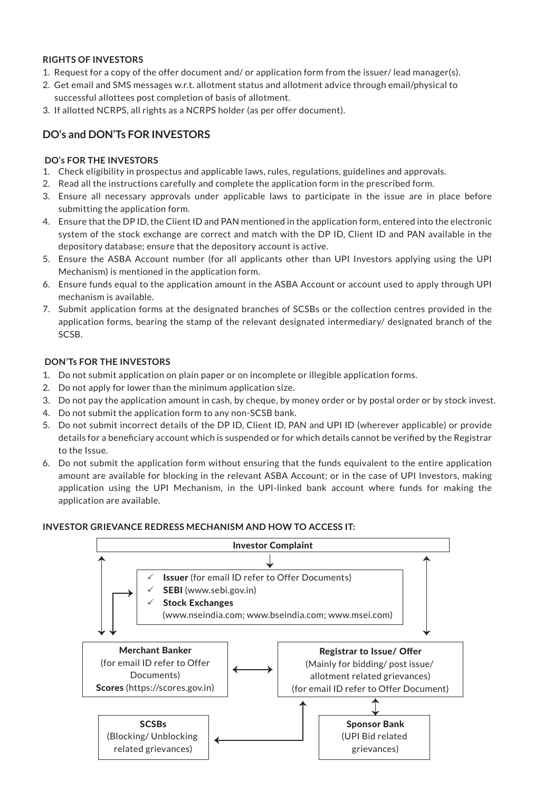## **RIGHTS OF INVESTORS**

- 1. Request for a copy of the offer document and/ or application form from the issuer/ lead manager(s).
- 2. Get email and SMS messages w.r.t. allotment status and allotment advice through email/physical to successful allottees post completion of basis of allotment.
- 3. If allotted NCRPS, all rights as a NCRPS holder (as per offer document).

# **DO's and DON'Ts FOR INVESTORS**

## **DO's FOR THE INVESTORS**

- Check eligibility in prospectus and applicable laws, rules, regulations, guidelines and approvals. 1.
- 2. Read all the instructions carefully and complete the application form in the prescribed form.
- Ensure all necessary approvals under applicable laws to participate in the issue are in place before 3. submitting the application form.
- 4. Ensure that the DP ID, the Client ID and PAN mentioned in the application form, entered into the electronic system of the stock exchange are correct and match with the DP ID, Client ID and PAN available in the depository database; ensure that the depository account is active.
- Ensure the ASBA Account number (for all applicants other than UPI Investors applying using the UPI 5. Mechanism) is mentioned in the application form.
- Ensure funds equal to the application amount in the ASBA Account or account used to apply through UPI 6. mechanism is available.
- 7. Submit application forms at the designated branches of SCSBs or the collection centres provided in the application forms, bearing the stamp of the relevant designated intermediary/ designated branch of the SCSB.

## **DON'Ts FOR THE INVESTORS**

- Do not submit application on plain paper or on incomplete or illegible application forms. 1.
- 2. Do not apply for lower than the minimum application size.
- Do not pay the application amount in cash, by cheque, by money order or by postal order or by stock invest. 3.
- Do not submit the application form to any non-SCSB bank. 4.
- 5. Do not submit incorrect details of the DP ID, Client ID, PAN and UPI ID (wherever applicable) or provide details for a beneficiary account which is suspended or for which details cannot be verified by the Registrar to the Issue.
- Do not submit the application form without ensuring that the funds equivalent to the entire application 6. amount are available for blocking in the relevant ASBA Account; or in the case of UPI Investors, making application using the UPI Mechanism, in the UPI-linked bank account where funds for making the application are available.

#### **INVESTOR GRIEVANCE REDRESS MECHANISM AND HOW TO ACCESS IT:**

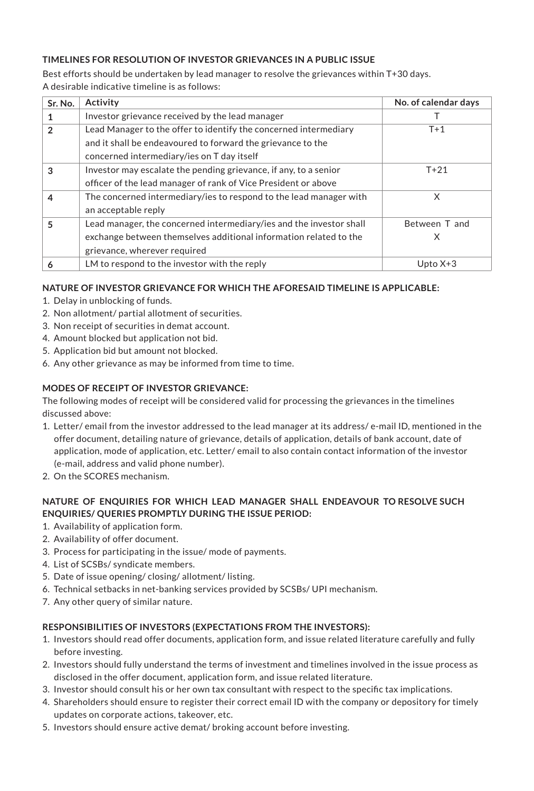## **TIMELINES FOR RESOLUTION OF INVESTOR GRIEVANCES IN A PUBLIC ISSUE**

Best efforts should be undertaken by lead manager to resolve the grievances within T+30 days. A desirable indicative timeline is as follows:

| Sr. No.        | <b>Activity</b>                                                     | No. of calendar days |
|----------------|---------------------------------------------------------------------|----------------------|
|                | Investor grievance received by the lead manager                     |                      |
| $\mathfrak{p}$ | Lead Manager to the offer to identify the concerned intermediary    | $T+1$                |
|                | and it shall be endeavoured to forward the grievance to the         |                      |
|                | concerned intermediary/ies on T day itself                          |                      |
| 3              | Investor may escalate the pending grievance, if any, to a senior    | $T+21$               |
|                | officer of the lead manager of rank of Vice President or above      |                      |
| 4              | The concerned intermediary/ies to respond to the lead manager with  | X                    |
|                | an acceptable reply                                                 |                      |
| 5              | Lead manager, the concerned intermediary/ies and the investor shall | Between T and        |
|                | exchange between themselves additional information related to the   | X                    |
|                | grievance, wherever required                                        |                      |
| 6              | LM to respond to the investor with the reply                        | Upto $X+3$           |

## **NATURE OF INVESTOR GRIEVANCE FOR WHICH THE AFORESAID TIMELINE IS APPLICABLE:**

- 1. Delay in unblocking of funds.
- 2. Non allotment/ partial allotment of securities.
- 3. Non receipt of securities in demat account.
- 4. Amount blocked but application not bid.
- 5. Application bid but amount not blocked.
- 6. Any other grievance as may be informed from time to time.

# **MODES OF RECEIPT OF INVESTOR GRIEVANCE:**

The following modes of receipt will be considered valid for processing the grievances in the timelines discussed above:

- 1. Letter/ email from the investor addressed to the lead manager at its address/ e-mail ID, mentioned in the offer document, detailing nature of grievance, details of application, details of bank account, date of application, mode of application, etc. Letter/ email to also contain contact information of the investor (e-mail, address and valid phone number).
- 2. On the SCORES mechanism.

# **NATURE OF ENQUIRIES FOR WHICH LEAD MANAGER SHALL ENDEAVOUR TO RESOLVE SUCH ENQUIRIES/ QUERIES PROMPTLY DURING THE ISSUE PERIOD:**

- 1. Availability of application form.
- 2. Availability of offer document.
- 3. Process for participating in the issue/ mode of payments.
- 4. List of SCSBs/ syndicate members.
- 5. Date of issue opening/ closing/ allotment/ listing.
- 6. Technical setbacks in net-banking services provided by SCSBs/ UPI mechanism.
- 7. Any other query of similar nature.

# **RESPONSIBILITIES OF INVESTORS (EXPECTATIONS FROM THE INVESTORS):**

- 1. Investors should read offer documents, application form, and issue related literature carefully and fully before investing.
- 2. Investors should fully understand the terms of investment and timelines involved in the issue process as disclosed in the offer document, application form, and issue related literature.
- 3. Investor should consult his or her own tax consultant with respect to the specific tax implications.
- 4. Shareholders should ensure to register their correct email ID with the company or depository for timely updates on corporate actions, takeover, etc.
- 5. Investors should ensure active demat/ broking account before investing.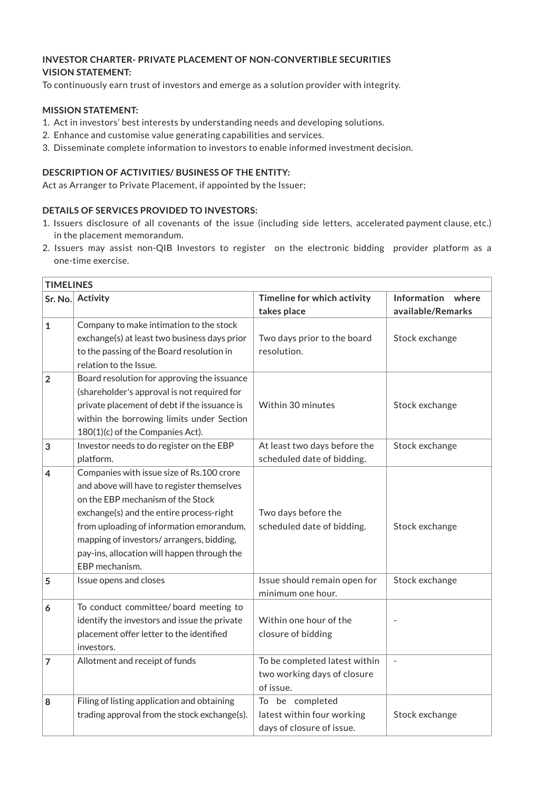## **INVESTOR CHARTER- PRIVATE PLACEMENT OF NON-CONVERTIBLE SECURITIES VISION STATEMENT:**

To continuously earn trust of investors and emerge as a solution provider with integrity.

## **MISSION STATEMENT:**

- 1. Act in investors' best interests by understanding needs and developing solutions.
- 2. Enhance and customise value generating capabilities and services.
- 3. Disseminate complete information to investors to enable informed investment decision.

## **DESCRIPTION OF ACTIVITIES/ BUSINESS OF THE ENTITY:**

Act as Arranger to Private Placement, if appointed by the Issuer;

# **DETAILS OF SERVICES PROVIDED TO INVESTORS:**

- 1. Issuers disclosure of all covenants of the issue (including side letters, accelerated payment clause, etc.) in the placement memorandum.
- 2. Issuers may assist non-QIB Investors to register on the electronic bidding provider platform as a one-time exercise.

|                | <b>TIMELINES</b>                                                                                                                                                                                                                                                                                                                  |                                                                            |                                           |  |  |  |
|----------------|-----------------------------------------------------------------------------------------------------------------------------------------------------------------------------------------------------------------------------------------------------------------------------------------------------------------------------------|----------------------------------------------------------------------------|-------------------------------------------|--|--|--|
|                | Sr. No. Activity                                                                                                                                                                                                                                                                                                                  | Timeline for which activity<br>takes place                                 | Information<br>where<br>available/Remarks |  |  |  |
| $\mathbf{1}$   | Company to make intimation to the stock<br>exchange(s) at least two business days prior<br>to the passing of the Board resolution in<br>relation to the Issue.                                                                                                                                                                    | Two days prior to the board<br>resolution.                                 | Stock exchange                            |  |  |  |
| $\overline{2}$ | Board resolution for approving the issuance<br>(shareholder's approval is not required for<br>private placement of debt if the issuance is<br>within the borrowing limits under Section<br>180(1)(c) of the Companies Act).                                                                                                       | Within 30 minutes                                                          | Stock exchange                            |  |  |  |
| 3              | Investor needs to do register on the EBP<br>platform.                                                                                                                                                                                                                                                                             | At least two days before the<br>scheduled date of bidding.                 | Stock exchange                            |  |  |  |
| 4              | Companies with issue size of Rs.100 crore<br>and above will have to register themselves<br>on the EBP mechanism of the Stock<br>exchange(s) and the entire process-right<br>from uploading of information emorandum,<br>mapping of investors/arrangers, bidding,<br>pay-ins, allocation will happen through the<br>EBP mechanism. | Two days before the<br>scheduled date of bidding.                          | Stock exchange                            |  |  |  |
| 5              | Issue opens and closes                                                                                                                                                                                                                                                                                                            | Issue should remain open for<br>minimum one hour.                          | Stock exchange                            |  |  |  |
| 6              | To conduct committee/board meeting to<br>identify the investors and issue the private<br>placement offer letter to the identified<br>investors.                                                                                                                                                                                   | Within one hour of the<br>closure of bidding                               |                                           |  |  |  |
| $\overline{7}$ | Allotment and receipt of funds                                                                                                                                                                                                                                                                                                    | To be completed latest within<br>two working days of closure<br>of issue.  | $\blacksquare$                            |  |  |  |
| 8              | Filing of listing application and obtaining<br>trading approval from the stock exchange(s).                                                                                                                                                                                                                                       | To be completed<br>latest within four working<br>days of closure of issue. | Stock exchange                            |  |  |  |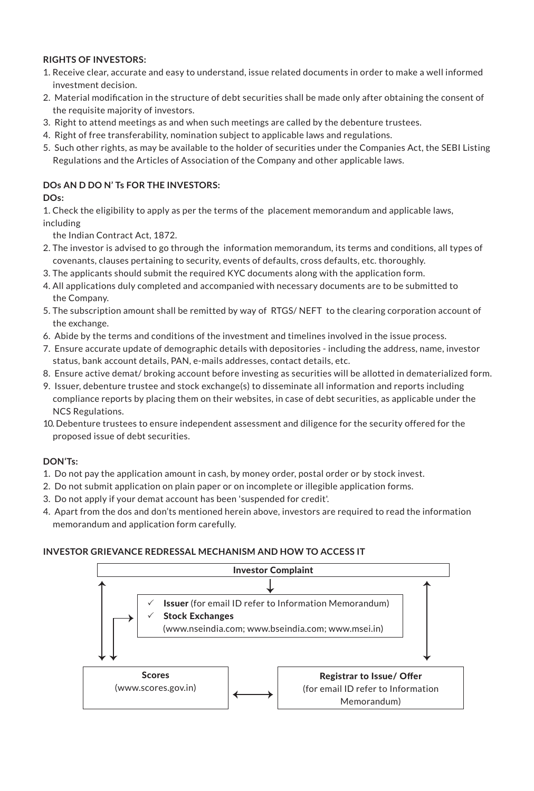## **RIGHTS OF INVESTORS:**

- 1. Receive clear, accurate and easy to understand, issue related documents in order to make a well informed investment decision.
- 2. Material modification in the structure of debt securities shall be made only after obtaining the consent of the requisite majority of investors.
- 3. Right to attend meetings as and when such meetings are called by the debenture trustees.
- 4. Right of free transferability, nomination subject to applicable laws and regulations.
- 5. Such other rights, as may be available to the holder of securities under the Companies Act, the SEBI Listing Regulations and the Articles of Association of the Company and other applicable laws.

## **DOs AN D DO N' Ts FOR THE INVESTORS:**

## **DOs:**

1. Check the eligibility to apply as per the terms of the placement memorandum and applicable laws, including

the Indian Contract Act, 1872.

- 2. The investor is advised to go through the information memorandum, its terms and conditions, all types of covenants, clauses pertaining to security, events of defaults, cross defaults, etc. thoroughly.
- 3. The applicants should submit the required KYC documents along with the application form.
- 4. All applications duly completed and accompanied with necessary documents are to be submitted to the Company.
- 5. The subscription amount shall be remitted by way of RTGS/ NEFT to the clearing corporation account of the exchange.
- 6. Abide by the terms and conditions of the investment and timelines involved in the issue process.
- 7. Ensure accurate update of demographic details with depositories including the address, name, investor status, bank account details, PAN, e-mails addresses, contact details, etc.
- 8. Ensure active demat/ broking account before investing as securities will be allotted in dematerialized form.
- 9. Issuer, debenture trustee and stock exchange(s) to disseminate all information and reports including compliance reports by placing them on their websites, in case of debt securities, as applicable under the NCS Regulations.
- 10. Debenture trustees to ensure independent assessment and diligence for the security offered for the proposed issue of debt securities.

# **DON'Ts:**

- 1. Do not pay the application amount in cash, by money order, postal order or by stock invest.
- 2. Do not submit application on plain paper or on incomplete or illegible application forms.
- 3. Do not apply if your demat account has been 'suspended for credit'.
- 4. Apart from the dos and don'ts mentioned herein above, investors are required to read the information memorandum and application form carefully.

#### **INVESTOR GRIEVANCE REDRESSAL MECHANISM AND HOW TO ACCESS IT**